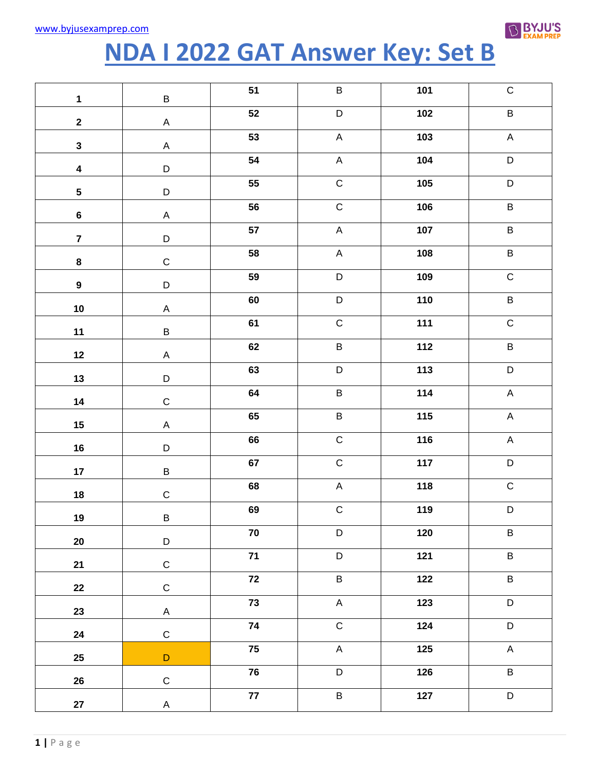

## NDA I 2022 GAT Answer Key: Set B

| $\mathbf 1$             | $\sf B$      | 51              | $\sf B$        | 101   | $\mathsf C$               |
|-------------------------|--------------|-----------------|----------------|-------|---------------------------|
| $\mathbf{2}$            | $\mathsf A$  | 52              | $\mathsf D$    | 102   | $\sf B$                   |
| $\mathbf{3}$            | $\mathsf A$  | 53              | $\mathsf A$    | 103   | $\mathsf A$               |
| $\overline{\mathbf{4}}$ | D            | 54              | $\mathsf A$    | 104   | $\mathsf D$               |
| $\overline{\mathbf{5}}$ | D            | 55              | $\overline{C}$ | 105   | $\mathsf D$               |
| $\bf 6$                 | $\mathsf A$  | 56              | $\overline{C}$ | 106   | $\sf B$                   |
| $\overline{7}$          | D            | 57              | $\mathsf A$    | 107   | $\sf B$                   |
| $\pmb{8}$               | $\mathsf C$  | 58              | $\mathsf A$    | 108   | $\sf B$                   |
| $\boldsymbol{9}$        | D            | 59              | $\mathsf D$    | 109   | $\mathsf C$               |
| $10\,$                  | $\mathsf A$  | 60              | $\mathsf D$    | 110   | $\sf B$                   |
| $11$                    | $\sf B$      | 61              | $\mathsf C$    | 111   | $\mathsf C$               |
| 12                      | $\mathsf A$  | 62              | B              | 112   | $\sf B$                   |
| 13                      | D            | 63              | D              | 113   | D                         |
| 14                      | $\mathsf C$  | 64              | B              | 114   | $\mathsf A$               |
| $15\phantom{.0}$        | $\mathsf A$  | 65              | B              | 115   | $\mathsf A$               |
| 16                      | D            | 66              | $\overline{C}$ | 116   | $\mathsf A$               |
| 17                      | $\sf B$      | 67              | $\mathsf C$    | 117   | D                         |
| $18\,$                  | $\mathsf C$  | 68              | $\mathsf A$    | 118   | $\mathsf C$               |
| 19                      | $\sf B$      | 69              | $\overline{C}$ | 119   | $\mathsf D$               |
| $20\,$                  | D            | ${\bf 70}$      | $\mathsf D$    | $120$ | $\sf B$                   |
| 21                      | $\mathsf C$  | $71$            | $\mathsf D$    | $121$ | $\sf B$                   |
| 22                      | ${\bf C}$    | $72$            | B              | 122   | $\sf B$                   |
| 23                      | $\mathsf{A}$ | 73              | $\mathsf A$    | 123   | $\mathsf D$               |
| 24                      | $\mathbf C$  | ${\bf 74}$      | $\mathsf C$    | 124   | $\mathsf D$               |
| 25                      | $\mathsf D$  | 75              | $\mathsf A$    | 125   | $\boldsymbol{\mathsf{A}}$ |
| 26                      | $\mathsf C$  | 76              | $\mathsf D$    | 126   | $\sf B$                   |
| ${\bf 27}$              | $\mathsf{A}$ | $\overline{77}$ | $\sf B$        | $127$ | $\mathsf D$               |